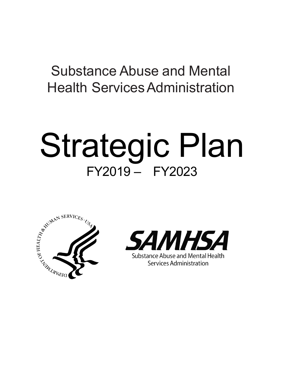## Substance Abuse and Mental **Health Services Administration**

# Strategic Plan FY2019 – FY2023



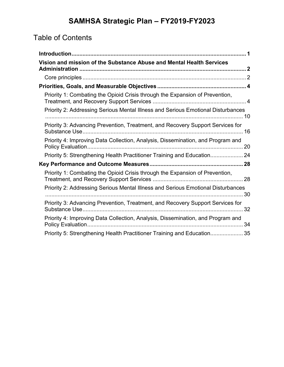## Table of Contents

| Vision and mission of the Substance Abuse and Mental Health Services             |  |
|----------------------------------------------------------------------------------|--|
|                                                                                  |  |
|                                                                                  |  |
| Priority 1: Combating the Opioid Crisis through the Expansion of Prevention,     |  |
| Priority 2: Addressing Serious Mental Illness and Serious Emotional Disturbances |  |
| Priority 3: Advancing Prevention, Treatment, and Recovery Support Services for   |  |
| Priority 4: Improving Data Collection, Analysis, Dissemination, and Program and  |  |
| Priority 5: Strengthening Health Practitioner Training and Education 24          |  |
|                                                                                  |  |
| Priority 1: Combating the Opioid Crisis through the Expansion of Prevention,     |  |
| Priority 2: Addressing Serious Mental Illness and Serious Emotional Disturbances |  |
| Priority 3: Advancing Prevention, Treatment, and Recovery Support Services for   |  |
| Priority 4: Improving Data Collection, Analysis, Dissemination, and Program and  |  |
| Priority 5: Strengthening Health Practitioner Training and Education 35          |  |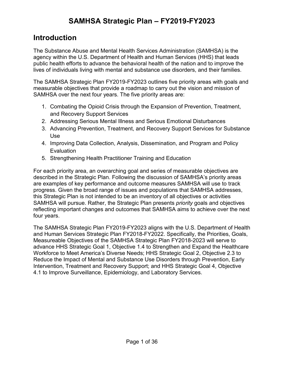## <span id="page-2-0"></span>**Introduction**

The Substance Abuse and Mental Health Services Administration (SAMHSA) is the agency within the U.S. Department of Health and Human Services (HHS) that leads public health efforts to advance the behavioral health of the nation and to improve the lives of individuals living with mental and substance use disorders, and their families.

The SAMHSA Strategic Plan FY2019-FY2023 outlines five priority areas with goals and measurable objectives that provide a roadmap to carry out the vision and mission of SAMHSA over the next four years. The five priority areas are:

- 1. Combating the Opioid Crisis through the Expansion of Prevention, Treatment, and Recovery Support Services
- 2. Addressing Serious Mental Illness and Serious Emotional Disturbances
- 3. Advancing Prevention, Treatment, and Recovery Support Services for Substance Use
- 4. Improving Data Collection, Analysis, Dissemination, and Program and Policy **Evaluation**
- 5. Strengthening Health Practitioner Training and Education

For each priority area, an overarching goal and series of measurable objectives are described in the Strategic Plan. Following the discussion of SAMHSA's priority areas are examples of key performance and outcome measures SAMHSA will use to track progress. Given the broad range of issues and populations that SAMHSA addresses, this Strategic Plan is not intended to be an inventory of all objectives or activities SAMHSA will pursue. Rather, the Strategic Plan presents *priority* goals and objectives reflecting important changes and outcomes that SAMHSA aims to achieve over the next four years.

The SAMHSA Strategic Plan FY2019-FY2023 aligns with the U.S. Department of Health and Human Services Strategic Plan FY2018-FY2022. Specifically, the Priorities, Goals, Measureable Objectives of the SAMHSA Strategic Plan FY2018-2023 will serve to advance HHS Strategic Goal 1, Objective 1.4 to Strengthen and Expand the Healthcare Workforce to Meet America's Diverse Needs; HHS Strategic Goal 2, Objective 2.3 to Reduce the Impact of Mental and Substance Use Disorders through Prevention, Early Intervention, Treatment and Recovery Support; and HHS Strategic Goal 4, Objective 4.1 to Improve Surveillance, Epidemiology, and Laboratory Services.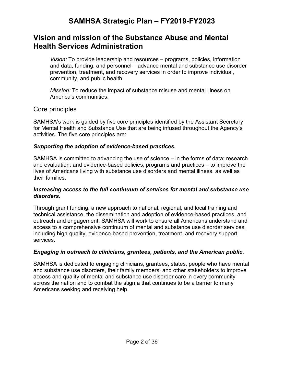### <span id="page-3-0"></span>**Vision and mission of the Substance Abuse and Mental Health Services Administration**

*Vision:* To provide leadership and resources – programs, policies, information and data, funding, and personnel – advance mental and substance use disorder prevention, treatment, and recovery services in order to improve individual, community, and public health.

*Mission:* To reduce the impact of substance misuse and mental illness on America's communities.

#### <span id="page-3-1"></span>Core principles

SAMHSA's work is guided by five core principles identified by the Assistant Secretary for Mental Health and Substance Use that are being infused throughout the Agency's activities. The five core principles are:

#### *Supporting the adoption of evidence-based practices.*

SAMHSA is committed to advancing the use of science – in the forms of data; research and evaluation; and evidence-based policies, programs and practices – to improve the lives of Americans living with substance use disorders and mental illness, as well as their families.

#### *Increasing access to the full continuum of services for mental and substance use disorders.*

Through grant funding, a new approach to national, regional, and local training and technical assistance, the dissemination and adoption of evidence-based practices, and outreach and engagement, SAMHSA will work to ensure all Americans understand and access to a comprehensive continuum of mental and substance use disorder services, including high-quality, evidence-based prevention, treatment, and recovery support services.

#### *Engaging in outreach to clinicians, grantees, patients, and the American public.*

SAMHSA is dedicated to engaging clinicians, grantees, states, people who have mental and substance use disorders, their family members, and other stakeholders to improve access and quality of mental and substance use disorder care in every community across the nation and to combat the stigma that continues to be a barrier to many Americans seeking and receiving help.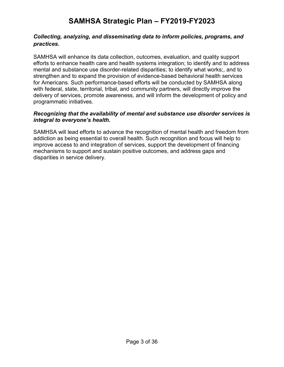#### *Collecting, analyzing, and disseminating data to inform policies, programs, and practices.*

SAMHSA will enhance its data collection, outcomes, evaluation, and quality support efforts to enhance health care and health systems integration; to identify and to address mental and substance use disorder-related disparities; to identify what works;, and to strengthen and to expand the provision of evidence-based behavioral health services for Americans. Such performance-based efforts will be conducted by SAMHSA along with federal, state, territorial, tribal, and community partners, will directly improve the delivery of services, promote awareness, and will inform the development of policy and programmatic initiatives.

#### *Recognizing that the availability of mental and substance use disorder services is integral to everyone's health.*

SAMHSA will lead efforts to advance the recognition of mental health and freedom from addiction as being essential to overall health. Such recognition and focus will help to improve access to and integration of services, support the development of financing mechanisms to support and sustain positive outcomes, and address gaps and disparities in service delivery.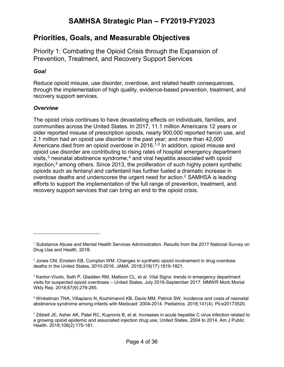## <span id="page-5-0"></span>**Priorities, Goals, and Measurable Objectives**

<span id="page-5-1"></span>Priority 1: Combating the Opioid Crisis through the Expansion of Prevention, Treatment, and Recovery Support Services

#### *Goal*

Reduce opioid misuse, use disorder, overdose, and related health consequences, through the implementation of high quality, evidence-based prevention, treatment, and recovery support services.

#### *Overview*

 $\overline{a}$ 

The opioid crisis continues to have devastating effects on individuals, families, and communities across the United States. In 2017, 11.1 million Americans 12 years or older reported misuse of prescription opioids, nearly 900,000 reported heroin use, and 2.1 million had an opioid use disorder in the past year; and more than 42,000 Americans died from an opioid overdose in 2016.<sup>[1,](#page-5-2)[2](#page-5-3)</sup> In addition, opioid misuse and opioid use disorder are contributing to rising rates of hospital emergency department visits, $3$  neonatal abstinence syndrome, $4$  and viral hepatitis associated with opioid injection,<sup>[5](#page-5-6)</sup> among others. Since 2013, the proliferation of such highly potent synthetic opioids such as fentanyl and carfentanil has further fueled a dramatic increase in overdose deaths and underscores the urgent need for action.<sup>2</sup> SAMHSA is leading efforts to support the implementation of the full range of prevention, treatment, and recovery support services that can bring an end to the opioid crisis.

<span id="page-5-2"></span> $<sup>1</sup>$  Substance Abuse and Mental Health Services Administration. Results from the 2017 National Survey on</sup> Drug Use and Health. 2018.

<span id="page-5-3"></span> $<sup>2</sup>$  Jones CM, Einstein EB, Compton WM. Changes in synthetic opioid involvement in drug overdose</sup> deaths in the United States, 2010-2016. JAMA. 2018;319(17):1819-1821.

<span id="page-5-4"></span><sup>&</sup>lt;sup>3</sup> Kantor-Vivolo, Seth P, Gladden RM, Mattson CL, et al. Vital Signs: trends in emergency department visits for suspected opioid overdoses – United States, July 2016-September 2017. MMWR Morb Mortal Wkly Rep. 2018;67(9):279-285.

<span id="page-5-5"></span><sup>4</sup> Winkelman TNA, Villapiano N, Kozhimannil KB, Davis MM, Patrick SW. Incidence and costs of neonatal abstinence syndrome among infants with Medicaid: 2004-2014. Pediatrics. 2018;141(4). Pii:e20173520.

<span id="page-5-6"></span> $5$  Zibbell JE, Asher AK, Patel RC, Kupronis B, et al. Increases in acute hepatitis C virus infection related to a growing opioid epidemic and associated injection drug use, United States, 2004 to 2014. Am J Public Health. 2018;108(2):175-181.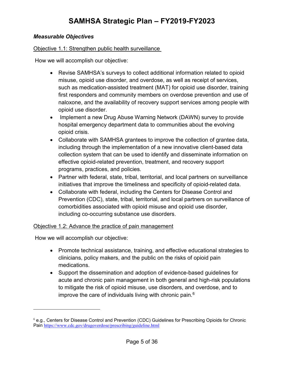#### *Measurable Objectives*

#### Objective 1.1: Strengthen public health surveillance

How we will accomplish our objective:

- Revise SAMHSA's surveys to collect additional information related to opioid misuse, opioid use disorder, and overdose, as well as receipt of services, such as medication-assisted treatment (MAT) for opioid use disorder, training first responders and community members on overdose prevention and use of naloxone, and the availability of recovery support services among people with opioid use disorder.
- Implement a new Drug Abuse Warning Network (DAWN) survey to provide hospital emergency department data to communities about the evolving opioid crisis.
- Collaborate with SAMHSA grantees to improve the collection of grantee data, including through the implementation of a new innovative client-based data collection system that can be used to identify and disseminate information on effective opioid-related prevention, treatment, and recovery support programs, practices, and policies.
- Partner with federal, state, tribal, territorial, and local partners on surveillance initiatives that improve the timeliness and specificity of opioid-related data.
- Collaborate with federal, including the Centers for Disease Control and Prevention (CDC), state, tribal, territorial, and local partners on surveillance of comorbidities associated with opioid misuse and opioid use disorder, including co-occurring substance use disorders.

#### Objective 1.2: Advance the practice of pain management

How we will accomplish our objective:

- Promote technical assistance, training, and effective educational strategies to clinicians, policy makers, and the public on the risks of opioid pain medications.
- Support the dissemination and adoption of evidence-based guidelines for acute and chronic pain management in both general and high-risk populations to mitigate the risk of opioid misuse, use disorders, and overdose, and to improve the care of individuals living with chronic pain. $6$

<span id="page-6-0"></span> $6$  e.g., Centers for Disease Control and Prevention (CDC) Guidelines for Prescribing Opioids for Chronic Pain <https://www.cdc.gov/drugoverdose/prescribing/guideline.html>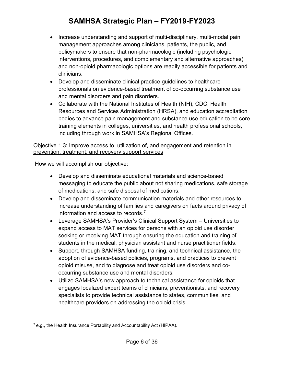- Increase understanding and support of multi-disciplinary, multi-modal pain management approaches among clinicians, patients, the public, and policymakers to ensure that non-pharmacologic (including psychologic interventions, procedures, and complementary and alternative approaches) and non-opioid pharmacologic options are readily accessible for patients and clinicians.
- Develop and disseminate clinical practice guidelines to healthcare professionals on evidence-based treatment of co-occurring substance use and mental disorders and pain disorders.
- Collaborate with the National Institutes of Health (NIH), CDC, Health Resources and Services Administration (HRSA), and education accreditation bodies to advance pain management and substance use education to be core training elements in colleges, universities, and health professional schools, including through work in SAMHSA's Regional Offices.

#### Objective 1.3: Improve access to, utilization of, and engagement and retention in prevention, treatment, and recovery support services

How we will accomplish our objective:

- Develop and disseminate educational materials and science-based messaging to educate the public about not sharing medications, safe storage of medications, and safe disposal of medications.
- Develop and disseminate communication materials and other resources to increase understanding of families and caregivers on facts around privacy of information and access to records.[7](#page-7-0)
- Leverage SAMHSA's Provider's Clinical Support System Universities to expand access to MAT services for persons with an opioid use disorder seeking or receiving MAT through ensuring the education and training of students in the medical, physician assistant and nurse practitioner fields.
- Support, through SAMHSA funding, training, and technical assistance, the adoption of evidence-based policies, programs, and practices to prevent opioid misuse, and to diagnose and treat opioid use disorders and cooccurring substance use and mental disorders.
- Utilize SAMHSA's new approach to technical assistance for opioids that engages localized expert teams of clinicians, preventionists, and recovery specialists to provide technical assistance to states, communities, and healthcare providers on addressing the opioid crisis.

<span id="page-7-0"></span> $7$  e.g., the Health Insurance Portability and Accountability Act (HIPAA).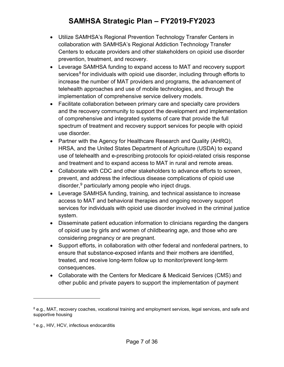- Utilize SAMHSA's Regional Prevention Technology Transfer Centers in collaboration with SAMHSA's Regional Addiction Technology Transfer Centers to educate providers and other stakeholders on opioid use disorder prevention, treatment, and recovery.
- Leverage SAMHSA funding to expand access to MAT and recovery support services<sup>[8](#page-8-0)</sup> for individuals with opioid use disorder, including through efforts to increase the number of MAT providers and programs, the advancement of telehealth approaches and use of mobile technologies, and through the implementation of comprehensive service delivery models.
- Facilitate collaboration between primary care and specialty care providers and the recovery community to support the development and implementation of comprehensive and integrated systems of care that provide the full spectrum of treatment and recovery support services for people with opioid use disorder.
- Partner with the Agency for Healthcare Research and Quality (AHRQ), HRSA, and the United States Department of Agriculture (USDA) to expand use of telehealth and e-prescribing protocols for opioid-related crisis response and treatment and to expand access to MAT in rural and remote areas.
- Collaborate with CDC and other stakeholders to advance efforts to screen, prevent, and address the infectious disease complications of opioid use disorder,  $9$  particularly among people who inject drugs.
- Leverage SAMHSA funding, training, and technical assistance to increase access to MAT and behavioral therapies and ongoing recovery support services for individuals with opioid use disorder involved in the criminal justice system.
- Disseminate patient education information to clinicians regarding the dangers of opioid use by girls and women of childbearing age, and those who are considering pregnancy or are pregnant.
- Support efforts, in collaboration with other federal and nonfederal partners, to ensure that substance-exposed infants and their mothers are identified, treated, and receive long-term follow up to monitor/prevent long-term consequences.
- Collaborate with the Centers for Medicare & Medicaid Services (CMS) and other public and private payers to support the implementation of payment

<span id="page-8-0"></span><sup>8</sup> e.g., MAT, recovery coaches, vocational training and employment services, legal services, and safe and supportive housing

<span id="page-8-1"></span><sup>&</sup>lt;sup>9</sup> e.g., HIV, HCV, infectious endocarditis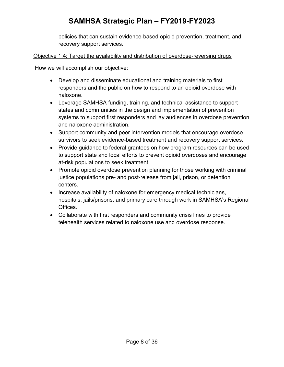policies that can sustain evidence-based opioid prevention, treatment, and recovery support services.

#### Objective 1.4: Target the availability and distribution of overdose-reversing drugs

- Develop and disseminate educational and training materials to first responders and the public on how to respond to an opioid overdose with naloxone.
- Leverage SAMHSA funding, training, and technical assistance to support states and communities in the design and implementation of prevention systems to support first responders and lay audiences in overdose prevention and naloxone administration.
- Support community and peer intervention models that encourage overdose survivors to seek evidence-based treatment and recovery support services.
- Provide guidance to federal grantees on how program resources can be used to support state and local efforts to prevent opioid overdoses and encourage at-risk populations to seek treatment.
- Promote opioid overdose prevention planning for those working with criminal justice populations pre- and post-release from jail, prison, or detention centers.
- Increase availability of naloxone for emergency medical technicians, hospitals, jails/prisons, and primary care through work in SAMHSA's Regional Offices.
- Collaborate with first responders and community crisis lines to provide telehealth services related to naloxone use and overdose response.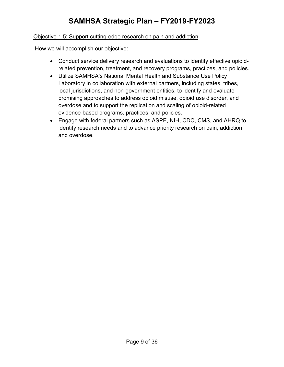#### Objective 1.5: Support cutting-edge research on pain and addiction

- Conduct service delivery research and evaluations to identify effective opioidrelated prevention, treatment, and recovery programs, practices, and policies.
- Utilize SAMHSA's National Mental Health and Substance Use Policy Laboratory in collaboration with external partners, including states, tribes, local jurisdictions, and non-government entities, to identify and evaluate promising approaches to address opioid misuse, opioid use disorder, and overdose and to support the replication and scaling of opioid-related evidence-based programs, practices, and policies.
- Engage with federal partners such as ASPE, NIH, CDC, CMS, and AHRQ to identify research needs and to advance priority research on pain, addiction, and overdose.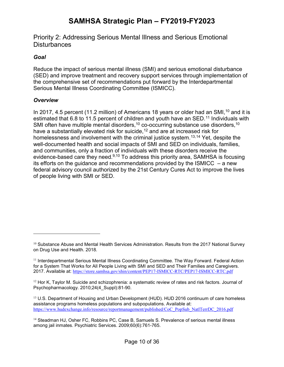<span id="page-11-0"></span>Priority 2: Addressing Serious Mental Illness and Serious Emotional **Disturbances** 

#### *Goal*

Reduce the impact of serious mental illness (SMI) and serious emotional disturbance (SED) and improve treatment and recovery support services through implementation of the comprehensive set of recommendations put forward by the Interdepartmental Serious Mental Illness Coordinating Committee (ISMICC).

#### *Overview*

 $\overline{a}$ 

In 2017, 4.5 percent (11.2 million) of Americans 18 years or older had an SMI,  $10$  and it is estimated that 6.8 to [11](#page-11-2).5 percent of children and youth have an SED.<sup>11</sup> Individuals with SMI often have multiple mental disorders,<sup>10</sup> co-occurring substance use disorders,<sup>10</sup> have a substantially elevated risk for suicide,<sup>[12](#page-11-3)</sup> and are at increased risk for homelessness and involvement with the criminal justice system.<sup>[13](#page-11-4),[14](#page-11-5)</sup> Yet, despite the well-documented health and social impacts of SMI and SED on individuals, families, and communities, only a fraction of individuals with these disorders receive the evidence-based care they need.<sup>9,10</sup> To address this priority area, SAMHSA is focusing its efforts on the quidance and recommendations provided by the ISMICC  $-$  a new federal advisory council authorized by the 21st Century Cures Act to improve the lives of people living with SMI or SED.

<span id="page-11-1"></span> $10$  Substance Abuse and Mental Health Services Administration. Results from the 2017 National Survey on Drug Use and Health. 2018.

<span id="page-11-2"></span><sup>11</sup> Interdepartmental Serious Mental Illness Coordinating Committee. The Way Forward. Federal Action for a System That Works for All People Living with SMI and SED and Their Families and Caregivers. 2017. Available at: <https://store.samhsa.gov/shin/content/PEP17-ISMICC-RTC/PEP17-ISMICC-RTC.pdf>

<span id="page-11-3"></span> $12$  Hor K, Taylor M. Suicide and schizophrenia: a systematic review of rates and risk factors. Journal of Psychopharmacology. 2010;24(4 Suppl):81-90.

<span id="page-11-4"></span> $13$  U.S. Department of Housing and Urban Development (HUD). HUD 2016 continuum of care homeless assistance programs homeless populations and subpopulations. Available at: [https://www.hudexchange.info/resource/reportmanagement/published/CoC\\_PopSub\\_NatlTerrDC\\_2016.pdf](https://www.hudexchange.info/resource/reportmanagement/published/CoC_PopSub_NatlTerrDC_2016.pdf)

<span id="page-11-5"></span><sup>&</sup>lt;sup>14</sup> Steadman HJ, Osher FC, Robbins PC, Case B, Samuels S. Prevalence of serious mental illness among jail inmates. Psychiatric Services. 2009;60(6):761-765.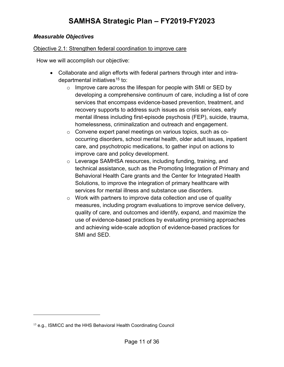#### *Measurable Objectives*

#### Objective 2.1: Strengthen federal coordination to improve care

How we will accomplish our objective:

- Collaborate and align efforts with federal partners through inter and intra-departmental initiatives<sup>[15](#page-12-0)</sup> to:
	- o Improve care across the lifespan for people with SMI or SED by developing a comprehensive continuum of care, including a list of core services that encompass evidence-based prevention, treatment, and recovery supports to address such issues as crisis services, early mental illness including first-episode psychosis (FEP), suicide, trauma, homelessness, criminalization and outreach and engagement.
	- o Convene expert panel meetings on various topics, such as cooccurring disorders, school mental health, older adult issues, inpatient care, and psychotropic medications, to gather input on actions to improve care and policy development.
	- o Leverage SAMHSA resources, including funding, training, and technical assistance, such as the Promoting Integration of Primary and Behavioral Health Care grants and the Center for Integrated Health Solutions, to improve the integration of primary healthcare with services for mental illness and substance use disorders.
	- $\circ$  Work with partners to improve data collection and use of quality measures, including program evaluations to improve service delivery, quality of care, and outcomes and identify, expand, and maximize the use of evidence-based practices by evaluating promising approaches and achieving wide-scale adoption of evidence-based practices for SMI and SED.

<span id="page-12-0"></span> $15$  e.g., ISMICC and the HHS Behavioral Health Coordinating Council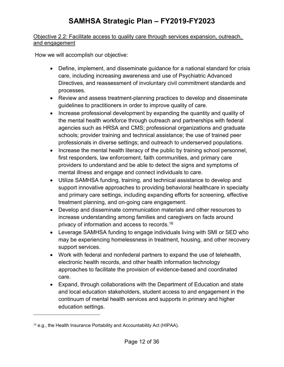#### Objective 2.2: Facilitate access to quality care through services expansion, outreach, and engagement

How we will accomplish our objective:

- Define, implement, and disseminate guidance for a national standard for crisis care, including increasing awareness and use of Psychiatric Advanced Directives, and reassessment of involuntary civil commitment standards and processes.
- Review and assess treatment-planning practices to develop and disseminate guidelines to practitioners in order to improve quality of care.
- Increase professional development by expanding the quantity and quality of the mental health workforce through outreach and partnerships with federal agencies such as HRSA and CMS; professional organizations and graduate schools; provider training and technical assistance; the use of trained peer professionals in diverse settings; and outreach to underserved populations.
- Increase the mental health literacy of the public by training school personnel, first responders, law enforcement, faith communities, and primary care providers to understand and be able to detect the signs and symptoms of mental illness and engage and connect individuals to care.
- Utilize SAMHSA funding, training, and technical assistance to develop and support innovative approaches to providing behavioral healthcare in specialty and primary care settings, including expanding efforts for screening, effective treatment planning, and on-going care engagement.
- Develop and disseminate communication materials and other resources to increase understanding among families and caregivers on facts around privacy of information and access to records.[16](#page-13-0)
- Leverage SAMHSA funding to engage individuals living with SMI or SED who may be experiencing homelessness in treatment, housing, and other recovery support services.
- Work with federal and nonfederal partners to expand the use of telehealth, electronic health records, and other health information technology approaches to facilitate the provision of evidence-based and coordinated care.
- Expand, through collaborations with the Department of Education and state and local education stakeholders, student access to and engagement in the continuum of mental health services and supports in primary and higher education settings.

<span id="page-13-0"></span> $16$  e.g., the Health Insurance Portability and Accountability Act (HIPAA).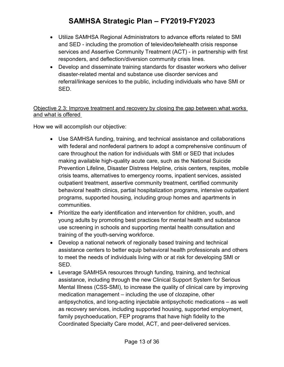- Utilize SAMHSA Regional Administrators to advance efforts related to SMI and SED - including the promotion of televideo/telehealth crisis response services and Assertive Community Treatment (ACT) - in partnership with first responders, and deflection/diversion community crisis lines.
- Develop and disseminate training standards for disaster workers who deliver disaster-related mental and substance use disorder services and referral/linkage services to the public, including individuals who have SMI or SED.

#### Objective 2.3: Improve treatment and recovery by closing the gap between what works and what is offered

- Use SAMHSA funding, training, and technical assistance and collaborations with federal and nonfederal partners to adopt a comprehensive continuum of care throughout the nation for individuals with SMI or SED that includes making available high-quality acute care, such as the National Suicide Prevention Lifeline, Disaster Distress Helpline, crisis centers, respites, mobile crisis teams, alternatives to emergency rooms, inpatient services, assisted outpatient treatment, assertive community treatment, certified community behavioral health clinics, partial hospitalization programs, intensive outpatient programs, supported housing, including group homes and apartments in communities.
- Prioritize the early identification and intervention for children, youth, and young adults by promoting best practices for mental health and substance use screening in schools and supporting mental health consultation and training of the youth-serving workforce.
- Develop a national network of regionally based training and technical assistance centers to better equip behavioral health professionals and others to meet the needs of individuals living with or at risk for developing SMI or SED.
- Leverage SAMHSA resources through funding, training, and technical assistance, including through the new Clinical Support System for Serious Mental Illness (CSS-SMI), to increase the quality of clinical care by improving medication management – including the use of clozapine, other antipsychotics, and long-acting injectable antipsychotic medications – as well as recovery services, including supported housing, supported employment, family psychoeducation, FEP programs that have high fidelity to the Coordinated Specialty Care model, ACT, and peer-delivered services.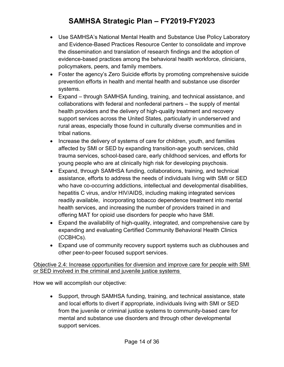- Use SAMHSA's National Mental Health and Substance Use Policy Laboratory and Evidence-Based Practices Resource Center to consolidate and improve the dissemination and translation of research findings and the adoption of evidence-based practices among the behavioral health workforce, clinicians, policymakers, peers, and family members.
- Foster the agency's Zero Suicide efforts by promoting comprehensive suicide prevention efforts in health and mental health and substance use disorder systems.
- Expand through SAMHSA funding, training, and technical assistance, and collaborations with federal and nonfederal partners – the supply of mental health providers and the delivery of high-quality treatment and recovery support services across the United States, particularly in underserved and rural areas, especially those found in culturally diverse communities and in tribal nations.
- Increase the delivery of systems of care for children, youth, and families affected by SMI or SED by expanding transition-age youth services, child trauma services, school-based care, early childhood services, and efforts for young people who are at clinically high risk for developing psychosis.
- Expand, through SAMHSA funding, collaborations, training, and technical assistance, efforts to address the needs of individuals living with SMI or SED who have co-occurring addictions, intellectual and developmental disabilities, hepatitis C virus, and/or HIV/AIDS, including making integrated services readily available, incorporating tobacco dependence treatment into mental health services, and increasing the number of providers trained in and offering MAT for opioid use disorders for people who have SMI.
- Expand the availability of high-quality, integrated, and comprehensive care by expanding and evaluating Certified Community Behavioral Health Clinics (CCBHCs).
- Expand use of community recovery support systems such as clubhouses and other peer-to-peer focused support services.

#### Objective 2.4: Increase opportunities for diversion and improve care for people with SMI or SED involved in the criminal and juvenile justice systems

How we will accomplish our objective:

• Support, through SAMHSA funding, training, and technical assistance, state and local efforts to divert if appropriate, individuals living with SMI or SED from the juvenile or criminal justice systems to community-based care for mental and substance use disorders and through other developmental support services.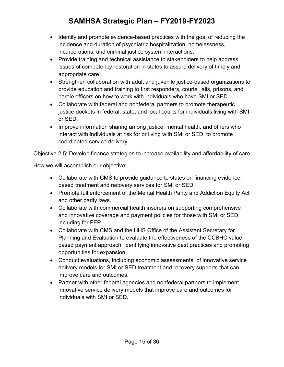- Identify and promote evidence-based practices with the goal of reducing the incidence and duration of psychiatric hospitalization, homelessness, incarcerations, and criminal justice system interactions.
- Provide training and technical assistance to stakeholders to help address issues of competency restoration in states to assure delivery of timely and appropriate care.
- Strengthen collaboration with adult and juvenile justice-based organizations to provide education and training to first responders, courts, jails, prisons, and parole officers on how to work with individuals who have SMI or SED.
- Collaborate with federal and nonfederal partners to promote therapeutic justice dockets in federal, state, and local courts for individuals living with SMI or SED.
- Improve information sharing among justice, mental health, and others who interact with individuals at risk for or living with SMI or SED, to promote coordinated service delivery.

#### Objective 2.5: Develop finance strategies to increase availability and affordability of care

- Collaborate with CMS to provide guidance to states on financing evidencebased treatment and recovery services for SMI or SED.
- Promote full enforcement of the Mental Health Parity and Addiction Equity Act and other parity laws.
- Collaborate with commercial health insurers on supporting comprehensive and innovative coverage and payment policies for those with SMI or SED, including for FEP.
- Collaborate with CMS and the HHS Office of the Assistant Secretary for Planning and Evaluation to evaluate the effectiveness of the CCBHC valuebased payment approach, identifying innovative best practices and promoting opportunities for expansion.
- Conduct evaluations, including economic assessments, of innovative service delivery models for SMI or SED treatment and recovery supports that can improve care and outcomes.
- Partner with other federal agencies and nonfederal partners to implement innovative service delivery models that improve care and outcomes for individuals with SMI or SED.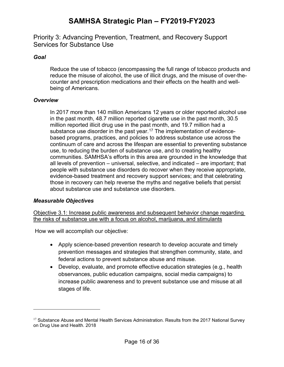<span id="page-17-0"></span>Priority 3: Advancing Prevention, Treatment, and Recovery Support Services for Substance Use

#### *Goal*

Reduce the use of tobacco (encompassing the full range of tobacco products and reduce the misuse of alcohol, the use of illicit drugs, and the misuse of over-thecounter and prescription medications and their effects on the health and wellbeing of Americans.

#### *Overview*

In 2017 more than 140 million Americans 12 years or older reported alcohol use in the past month, 48.7 million reported cigarette use in the past month, 30.5 million reported illicit drug use in the past month, and 19.7 million had a substance use disorder in the past year.<sup>[17](#page-17-1)</sup> The implementation of evidencebased programs, practices, and policies to address substance use across the continuum of care and across the lifespan are essential to preventing substance use, to reducing the burden of substance use, and to creating healthy communities. SAMHSA's efforts in this area are grounded in the knowledge that all levels of prevention – universal, selective, and indicated – are important; that people with substance use disorders do recover when they receive appropriate, evidence-based treatment and recovery support services; and that celebrating those in recovery can help reverse the myths and negative beliefs that persist about substance use and substance use disorders.

#### *Measurable Objectives*

 $\overline{a}$ 

Objective 3.1: Increase public awareness and subsequent behavior change regarding the risks of substance use with a focus on alcohol, marijuana, and stimulants

- Apply science-based prevention research to develop accurate and timely prevention messages and strategies that strengthen community, state, and federal actions to prevent substance abuse and misuse.
- Develop, evaluate, and promote effective education strategies (e.g., health observances, public education campaigns, social media campaigns) to increase public awareness and to prevent substance use and misuse at all stages of life.

<span id="page-17-1"></span> $17$  Substance Abuse and Mental Health Services Administration. Results from the 2017 National Survey on Drug Use and Health. 2018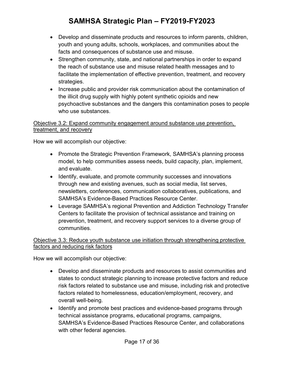- Develop and disseminate products and resources to inform parents, children, youth and young adults, schools, workplaces, and communities about the facts and consequences of substance use and misuse.
- Strengthen community, state, and national partnerships in order to expand the reach of substance use and misuse related health messages and to facilitate the implementation of effective prevention, treatment, and recovery strategies.
- Increase public and provider risk communication about the contamination of the illicit drug supply with highly potent synthetic opioids and new psychoactive substances and the dangers this contamination poses to people who use substances.

#### Objective 3.2: Expand community engagement around substance use prevention, treatment, and recovery

How we will accomplish our objective:

- Promote the Strategic Prevention Framework, SAMHSA's planning process model, to help communities assess needs, build capacity, plan, implement, and evaluate.
- Identify, evaluate, and promote community successes and innovations through new and existing avenues, such as social media, list serves, newsletters, conferences, communication collaboratives, publications, and SAMHSA's Evidence-Based Practices Resource Center.
- Leverage SAMHSA's regional Prevention and Addiction Technology Transfer Centers to facilitate the provision of technical assistance and training on prevention, treatment, and recovery support services to a diverse group of communities.

#### Objective 3.3: Reduce youth substance use initiation through strengthening protective factors and reducing risk factors

- Develop and disseminate products and resources to assist communities and states to conduct strategic planning to increase protective factors and reduce risk factors related to substance use and misuse, including risk and protective factors related to homelessness, education/employment, recovery, and overall well-being.
- Identify and promote best practices and evidence-based programs through technical assistance programs, educational programs, campaigns, SAMHSA's Evidence-Based Practices Resource Center, and collaborations with other federal agencies.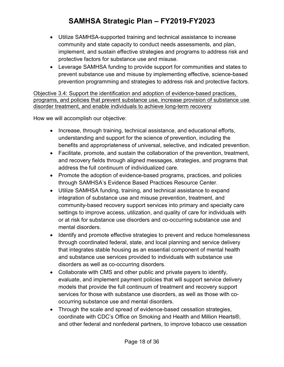- Utilize SAMHSA-supported training and technical assistance to increase community and state capacity to conduct needs assessments, and plan, implement, and sustain effective strategies and programs to address risk and protective factors for substance use and misuse.
- Leverage SAMHSA funding to provide support for communities and states to prevent substance use and misuse by implementing effective, science-based prevention programming and strategies to address risk and protective factors.

Objective 3.4: Support the identification and adoption of evidence-based practices, programs, and policies that prevent substance use, increase provision of substance use disorder treatment, and enable individuals to achieve long-term recovery

- Increase, through training, technical assistance, and educational efforts, understanding and support for the science of prevention, including the benefits and appropriateness of universal, selective, and indicated prevention.
- Facilitate, promote, and sustain the collaboration of the prevention, treatment, and recovery fields through aligned messages, strategies, and programs that address the full continuum of individualized care.
- Promote the adoption of evidence-based programs, practices, and policies through SAMHSA's Evidence Based Practices Resource Center.
- Utilize SAMHSA funding, training, and technical assistance to expand integration of substance use and misuse prevention, treatment, and community-based recovery support services into primary and specialty care settings to improve access, utilization, and quality of care for individuals with or at risk for substance use disorders and co-occurring substance use and mental disorders.
- Identify and promote effective strategies to prevent and reduce homelessness through coordinated federal, state, and local planning and service delivery that integrates stable housing as an essential component of mental health and substance use services provided to individuals with substance use disorders as well as co-occurring disorders.
- Collaborate with CMS and other public and private payers to identify, evaluate, and implement payment policies that will support service delivery models that provide the full continuum of treatment and recovery support services for those with substance use disorders, as well as those with cooccurring substance use and mental disorders.
- Through the scale and spread of evidence-based cessation strategies, coordinate with CDC's Office on Smoking and Health and Million Hearts®, and other federal and nonfederal partners, to improve tobacco use cessation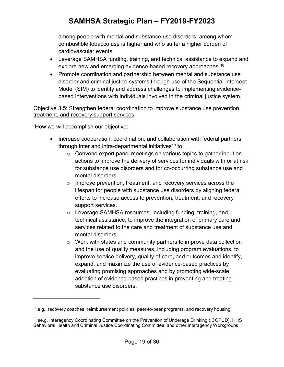among people with mental and substance use disorders, among whom combustible tobacco use is higher and who suffer a higher burden of cardiovascular events.

- Leverage SAMHSA funding, training, and technical assistance to expand and explore new and emerging evidence-based recovery approaches.<sup>[18](#page-20-0)</sup>
- Promote coordination and partnership between mental and substance use disorder and criminal justice systems through use of the Sequential Intercept Model (SIM) to identify and address challenges to implementing evidencebased interventions with individuals involved in the criminal justice system.

#### Objective 3.5: Strengthen federal coordination to improve substance use prevention, treatment, and recovery support services

How we will accomplish our objective:

- Increase cooperation, coordination, and collaboration with federal partners through inter and intra-departmental initiatives<sup>[19](#page-20-1)</sup> to:
	- o Convene expert panel meetings on various topics to gather input on actions to improve the delivery of services for individuals with or at risk for substance use disorders and for co-occurring substance use and mental disorders.
	- o Improve prevention, treatment, and recovery services across the lifespan for people with substance use disorders by aligning federal efforts to increase access to prevention, treatment, and recovery support services.
	- o Leverage SAMHSA resources, including funding, training, and technical assistance, to improve the integration of primary care and services related to the care and treatment of substance use and mental disorders.
	- o Work with states and community partners to improve data collection and the use of quality measures, including program evaluations, to improve service delivery, quality of care, and outcomes and identify, expand, and maximize the use of evidence-based practices by evaluating promising approaches and by promoting wide-scale adoption of evidence-based practices in preventing and treating substance use disorders.

<span id="page-20-0"></span> $18$  e.g., recovery coaches, reimbursement policies, peer-to-peer programs, and recovery housing

<span id="page-20-1"></span> $19$  ee.g. Interagency Coordinating Committee on the Prevention of Underage Drinking (ICCPUD), HHS Behavioral Health and Criminal Justice Coordinating Committee, and other Interagency Workgroups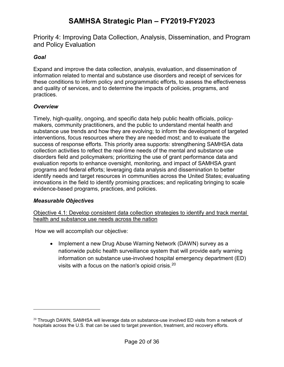<span id="page-21-0"></span>Priority 4: Improving Data Collection, Analysis, Dissemination, and Program and Policy Evaluation

#### *Goal*

Expand and improve the data collection, analysis, evaluation, and dissemination of information related to mental and substance use disorders and receipt of services for these conditions to inform policy and programmatic efforts, to assess the effectiveness and quality of services, and to determine the impacts of policies, programs, and practices.

#### *Overview*

Timely, high-quality, ongoing, and specific data help public health officials, policymakers, community practitioners, and the public to understand mental health and substance use trends and how they are evolving; to inform the development of targeted interventions, focus resources where they are needed most; and to evaluate the success of response efforts. This priority area supports: strengthening SAMHSA data collection activities to reflect the real-time needs of the mental and substance use disorders field and policymakers; prioritizing the use of grant performance data and evaluation reports to enhance oversight, monitoring, and impact of SAMHSA grant programs and federal efforts; leveraging data analysis and dissemination to better identify needs and target resources in communities across the United States; evaluating innovations in the field to identify promising practices; and replicating bringing to scale evidence-based programs, practices, and policies.

#### *Measurable Objectives*

 $\overline{a}$ 

Objective 4.1: Develop consistent data collection strategies to identify and track mental health and substance use needs across the nation

How we will accomplish our objective:

• Implement a new Drug Abuse Warning Network (DAWN) survey as a nationwide public health surveillance system that will provide early warning information on substance use-involved hospital emergency department (ED) visits with a focus on the nation's opioid crisis.[20](#page-21-1)

<span id="page-21-1"></span> $20$  Through DAWN, SAMHSA will leverage data on substance-use involved ED visits from a network of hospitals across the U.S. that can be used to target prevention, treatment, and recovery efforts.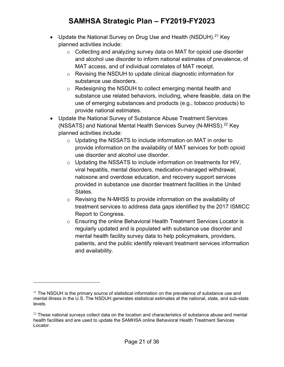- Update the National Survey on Drug Use and Health (NSDUH).<sup>[21](#page-22-0)</sup> Key planned activities include:
	- $\circ$  Collecting and analyzing survey data on MAT for opioid use disorder and alcohol use disorder to inform national estimates of prevalence, of MAT access, and of individual correlates of MAT receipt.
	- o Revising the NSDUH to update clinical diagnostic information for substance use disorders.
	- o Redesigning the NSDUH to collect emerging mental health and substance use related behaviors, including, where feasible, data on the use of emerging substances and products (e.g., tobacco products) to provide national estimates.
- Update the National Survey of Substance Abuse Treatment Services (NSSATS) and National Mental Health Services Survey (N-MHSS).<sup>[22](#page-22-1)</sup> Key planned activities include:
	- o Updating the NSSATS to include information on MAT in order to provide information on the availability of MAT services for both opioid use disorder and alcohol use disorder.
	- $\circ$  Updating the NSSATS to include information on treatments for HIV, viral hepatitis, mental disorders, medication-managed withdrawal, naloxone and overdose education, and recovery support services provided in substance use disorder treatment facilities in the United States.
	- o Revising the N-MHSS to provide information on the availability of treatment services to address data gaps identified by the 2017 ISMICC Report to Congress.
	- $\circ$  Ensuring the online Behavioral Health Treatment Services Locator is regularly updated and is populated with substance use disorder and mental health facility survey data to help policymakers, providers, patients, and the public identify relevant treatment services information and availability.

<span id="page-22-0"></span> $21$  The NSDUH is the primary source of statistical information on the prevalence of substance use and mental illness in the U.S. The NSDUH generates statistical estimates at the national, state, and sub-state levels.

<span id="page-22-1"></span> $22$  These national surveys collect data on the location and characteristics of substance abuse and mental health facilities and are used to update the SAMHSA online Behavioral Health Treatment Services Locator.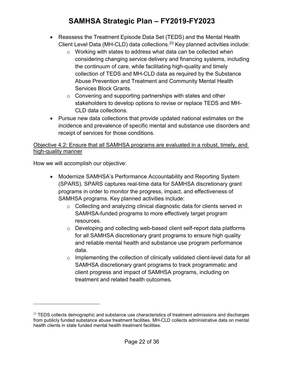- Reassess the Treatment Episode Data Set (TEDS) and the Mental Health Client Level Data (MH-CLD) data collections.<sup>[23](#page-23-0)</sup> Key planned activities include:
	- $\circ$  Working with states to address what data can be collected when considering changing service delivery and financing systems, including the continuum of care, while facilitating high-quality and timely collection of TEDS and MH-CLD data as required by the Substance Abuse Prevention and Treatment and Community Mental Health Services Block Grants.
	- $\circ$  Convening and supporting partnerships with states and other stakeholders to develop options to revise or replace TEDS and MH-CLD data collections.
- Pursue new data collections that provide updated national estimates on the incidence and prevalence of specific mental and substance use disorders and receipt of services for those conditions.

#### Objective 4.2: Ensure that all SAMHSA programs are evaluated in a robust, timely, and high-quality manner

How we will accomplish our objective:

- Modernize SAMHSA's Performance Accountability and Reporting System (SPARS). SPARS captures real-time data for SAMHSA discretionary grant programs in order to monitor the progress, impact, and effectiveness of SAMHSA programs. Key planned activities include:
	- o Collecting and analyzing clinical diagnostic data for clients served in SAMHSA-funded programs to more effectively target program resources.
	- o Developing and collecting web-based client self-report data platforms for all SAMHSA discretionary grant programs to ensure high quality and reliable mental health and substance use program performance data.
	- o Implementing the collection of clinically validated client-level data for all SAMHSA discretionary grant programs to track programmatic and client progress and impact of SAMHSA programs, including on treatment and related health outcomes.

<span id="page-23-0"></span> $23$  TEDS collects demographic and substance use characteristics of treatment admissions and discharges from publicly funded substance abuse treatment facilities. MH-CLD collects administrative data on mental health clients in state funded mental health treatment facilities.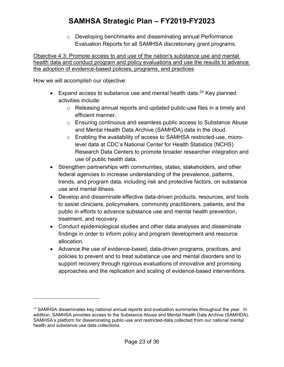o Developing benchmarks and disseminating annual Performance Evaluation Reports for all SAMHSA discretionary grant programs.

Objective 4.3: Promote access to and use of the nation's substance use and mental health data and conduct program and policy evaluations and use the results to advance the adoption of evidence-based policies, programs, and practices

How we will accomplish our objective:

- Expand access to substance use and mental health data.<sup>[24](#page-24-0)</sup> Key planned activities include:
	- o Releasing annual reports and updated public-use files in a timely and efficient manner.
	- o Ensuring continuous and seamless public access to Substance Abuse and Mental Health Data Archive (SAMHDA) data in the cloud.
	- o Enabling the availability of access to SAMHSA restricted-use, microlevel data at CDC's National Center for Health Statistics (NCHS) Research Data Centers to promote broader researcher integration and use of public health data.
- Strengthen partnerships with communities, states, stakeholders, and other federal agencies to increase understanding of the prevalence, patterns, trends, and program data, including risk and protective factors, on substance use and mental illness.
- Develop and disseminate effective data-driven products, resources, and tools to assist clinicians, policymakers, community practitioners, patients, and the public in efforts to advance substance use and mental health prevention, treatment, and recovery.
- Conduct epidemiological studies and other data analyses and disseminate findings in order to inform policy and program development and resource allocation.
- Advance the use of evidence-based, data-driven programs, practices, and policies to prevent and to treat substance use and mental disorders and to support recovery through rigorous evaluations of innovative and promising approaches and the replication and scaling of evidence-based interventions.

<span id="page-24-0"></span> $24$  SAMHSA disseminates key national annual reports and evaluation summaries throughout the year. In addition, SAMHSA provides access to the Substance Abuse and Mental Health Data Archive (SAMHDA), SAMHSA's platform for disseminating public-use and restricted-data collected from our national mental health and substance use data collections.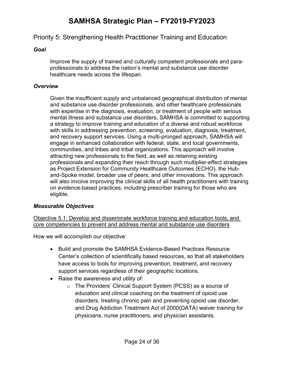#### <span id="page-25-0"></span>Priority 5: Strengthening Health Practitioner Training and Education

#### *Goal*

Improve the supply of trained and culturally competent professionals and paraprofessionals to address the nation's mental and substance use disorder healthcare needs across the lifespan.

#### *Overview*

Given the insufficient supply and unbalanced geographical distribution of mental and substance use disorder professionals, and other healthcare professionals with expertise in the diagnosis, evaluation, or treatment of people with serious mental illness and substance use disorders, SAMHSA is committed to supporting a strategy to improve training and education of a diverse and robust workforce with skills in addressing prevention, screening, evaluation, diagnosis, treatment, and recovery support services. Using a multi-pronged approach, SAMHSA will engage in enhanced collaboration with federal, state, and local governments, communities, and tribes and tribal organizations. This approach will involve attracting new professionals to the field, as well as retaining existing professionals and expanding their reach through such multiplier-effect strategies as Project Extension for Community Healthcare Outcomes (ECHO), the Huband-Spoke model, broader use of peers, and other innovations. This approach will also involve improving the clinical skills of all health practitioners with training on evidence-based practices, including prescriber training for those who are eligible.

#### *Measurable Objectives*

Objective 5.1: Develop and disseminate workforce training and education tools, and core competencies to prevent and address mental and substance use disorders

- Build and promote the SAMHSA Evidence-Based Practices Resource Center's collection of scientifically based resources, so that all stakeholders have access to tools for improving prevention, treatment, and recovery support services regardless of their geographic locations.
- Raise the awareness and utility of:
	- o The Providers' Clinical Support System (PCSS) as a source of education and clinical coaching on the treatment of opioid use disorders, treating chronic pain and preventing opioid use disorder, and Drug Addiction Treatment Act of 2000(DATA) waiver training for physicians, nurse practitioners, and physician assistants.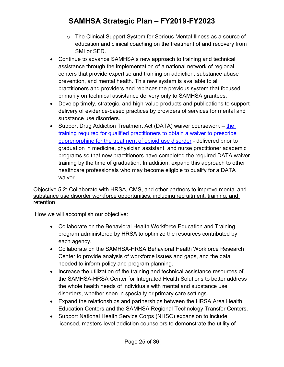- o The Clinical Support System for Serious Mental Illness as a source of education and clinical coaching on the treatment of and recovery from SMI or SED.
- Continue to advance SAMHSA's new approach to training and technical assistance through the implementation of a national network of regional centers that provide expertise and training on addiction, substance abuse prevention, and mental health. This new system is available to all practitioners and providers and replaces the previous system that focused primarily on technical assistance delivery only to SAMHSA grantees.
- Develop timely, strategic, and high-value products and publications to support delivery of evidence-based practices by providers of services for mental and substance use disorders.
- Support Drug Addiction Treatment Act (DATA) waiver coursework the [training required for qualified practitioners to obtain a waiver to prescribe](https://www.samhsa.gov/programs-campaigns/medication-assisted-treatment/training-materials-resources/buprenorphine-waiver)  [buprenorphine for the treatment of opioid use disorder](https://www.samhsa.gov/programs-campaigns/medication-assisted-treatment/training-materials-resources/buprenorphine-waiver) - delivered prior to graduation in medicine, physician assistant, and nurse practitioner academic programs so that new practitioners have completed the required DATA waiver training by the time of graduation. In addition, expand this approach to other healthcare professionals who may become eligible to qualify for a DATA waiver.

#### Objective 5.2: Collaborate with HRSA, CMS, and other partners to improve mental and substance use disorder workforce opportunities, including recruitment, training, and retention

- Collaborate on the Behavioral Health Workforce Education and Training program administered by HRSA to optimize the resources contributed by each agency.
- Collaborate on the SAMHSA-HRSA Behavioral Health Workforce Research Center to provide analysis of workforce issues and gaps, and the data needed to inform policy and program planning.
- Increase the utilization of the training and technical assistance resources of the SAMHSA-HRSA Center for Integrated Health Solutions to better address the whole health needs of individuals with mental and substance use disorders, whether seen in specialty or primary care settings.
- Expand the relationships and partnerships between the HRSA Area Health Education Centers and the SAMHSA Regional Technology Transfer Centers.
- Support National Health Service Corps (NHSC) expansion to include licensed, masters-level addiction counselors to demonstrate the utility of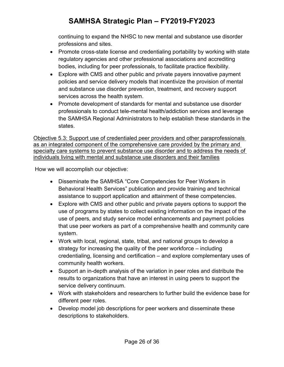continuing to expand the NHSC to new mental and substance use disorder professions and sites.

- Promote cross-state license and credentialing portability by working with state regulatory agencies and other professional associations and accrediting bodies, including for peer professionals, to facilitate practice flexibility.
- Explore with CMS and other public and private payers innovative payment policies and service delivery models that incentivize the provision of mental and substance use disorder prevention, treatment, and recovery support services across the health system.
- Promote development of standards for mental and substance use disorder professionals to conduct tele-mental health/addiction services and leverage the SAMHSA Regional Administrators to help establish these standards in the states.

Objective 5.3: Support use of credentialed peer providers and other paraprofessionals as an integrated component of the comprehensive care provided by the primary and specialty care systems to prevent substance use disorder and to address the needs of individuals living with mental and substance use disorders and their families

- Disseminate the SAMHSA "Core Competencies for Peer Workers in Behavioral Health Services" publication and provide training and technical assistance to support application and attainment of these competencies.
- Explore with CMS and other public and private payers options to support the use of programs by states to collect existing information on the impact of the use of peers, and study service model enhancements and payment policies that use peer workers as part of a comprehensive health and community care system.
- Work with local, regional, state, tribal, and national groups to develop a strategy for increasing the quality of the peer workforce – including credentialing, licensing and certification – and explore complementary uses of community health workers.
- Support an in-depth analysis of the variation in peer roles and distribute the results to organizations that have an interest in using peers to support the service delivery continuum.
- Work with stakeholders and researchers to further build the evidence base for different peer roles.
- Develop model job descriptions for peer workers and disseminate these descriptions to stakeholders.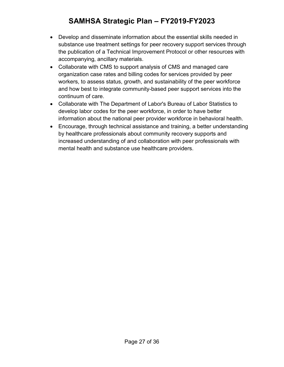- Develop and disseminate information about the essential skills needed in substance use treatment settings for peer recovery support services through the publication of a Technical Improvement Protocol or other resources with accompanying, ancillary materials.
- Collaborate with CMS to support analysis of CMS and managed care organization case rates and billing codes for services provided by peer workers, to assess status, growth, and sustainability of the peer workforce and how best to integrate community-based peer support services into the continuum of care.
- Collaborate with The Department of Labor's Bureau of Labor Statistics to develop labor codes for the peer workforce, in order to have better information about the national peer provider workforce in behavioral health.
- Encourage, through technical assistance and training, a better understanding by healthcare professionals about community recovery supports and increased understanding of and collaboration with peer professionals with mental health and substance use healthcare providers.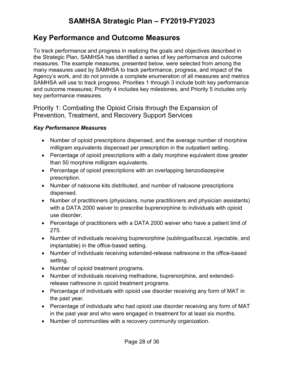## <span id="page-29-0"></span>**Key Performance and Outcome Measures**

To track performance and progress in realizing the goals and objectives described in the Strategic Plan, SAMHSA has identified a series of key performance and outcome measures. The example measures, presented below, were selected from among the many measures used by SAMHSA to track performance, progress, and impact of the Agency's work, and do not provide a complete enumeration of all measures and metrics SAMHSA will use to track progress. Priorities 1 through 3 include both key performance and outcome measures; Priority 4 includes key milestones, and Priority 5 includes only key performance measures.

<span id="page-29-1"></span>Priority 1: Combating the Opioid Crisis through the Expansion of Prevention, Treatment, and Recovery Support Services

#### *Key Performance Measures*

- Number of opioid prescriptions dispensed, and the average number of morphine milligram equivalents dispensed per prescription in the outpatient setting.
- Percentage of opioid prescriptions with a daily morphine equivalent dose greater than 50 morphine milligram equivalents.
- Percentage of opioid prescriptions with an overlapping benzodiazepine prescription.
- Number of naloxone kits distributed, and number of naloxone prescriptions dispensed.
- Number of practitioners (physicians, nurse practitioners and physician assistants) with a DATA 2000 waiver to prescribe buprenorphine to individuals with opioid use disorder.
- Percentage of practitioners with a DATA 2000 waiver who have a patient limit of 275.
- Number of individuals receiving buprenorphine (sublingual/buccal, injectable, and implantable) in the office-based setting.
- Number of individuals receiving extended-release naltrexone in the office-based setting.
- Number of opioid treatment programs.
- Number of individuals receiving methadone, buprenorphine, and extendedrelease naltrexone in opioid treatment programs.
- Percentage of individuals with opioid use disorder receiving any form of MAT in the past year.
- Percentage of individuals who had opioid use disorder receiving any form of MAT in the past year and who were engaged in treatment for at least six months.
- Number of communities with a recovery community organization.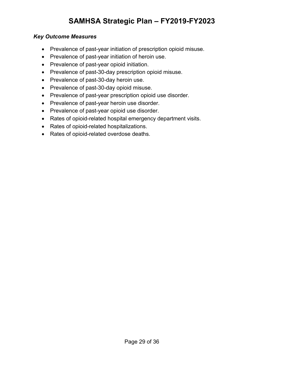#### *Key Outcome Measures*

- Prevalence of past-year initiation of prescription opioid misuse.
- Prevalence of past-year initiation of heroin use.
- Prevalence of past-year opioid initiation.
- Prevalence of past-30-day prescription opioid misuse.
- Prevalence of past-30-day heroin use.
- Prevalence of past-30-day opioid misuse.
- Prevalence of past-year prescription opioid use disorder.
- Prevalence of past-year heroin use disorder.
- Prevalence of past-year opioid use disorder.
- Rates of opioid-related hospital emergency department visits.
- Rates of opioid-related hospitalizations.
- Rates of opioid-related overdose deaths.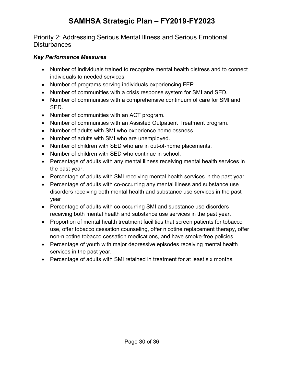<span id="page-31-0"></span>Priority 2: Addressing Serious Mental Illness and Serious Emotional **Disturbances** 

#### *Key Performance Measures*

- Number of individuals trained to recognize mental health distress and to connect individuals to needed services.
- Number of programs serving individuals experiencing FEP.
- Number of communities with a crisis response system for SMI and SED.
- Number of communities with a comprehensive continuum of care for SMI and SED.
- Number of communities with an ACT program.
- Number of communities with an Assisted Outpatient Treatment program.
- Number of adults with SMI who experience homelessness.
- Number of adults with SMI who are unemployed.
- Number of children with SED who are in out-of-home placements.
- Number of children with SED who continue in school.
- Percentage of adults with any mental illness receiving mental health services in the past year.
- Percentage of adults with SMI receiving mental health services in the past year.
- Percentage of adults with co-occurring any mental illness and substance use disorders receiving both mental health and substance use services in the past year
- Percentage of adults with co-occurring SMI and substance use disorders receiving both mental health and substance use services in the past year.
- Proportion of mental health treatment facilities that screen patients for tobacco use, offer tobacco cessation counseling, offer nicotine replacement therapy, offer non-nicotine tobacco cessation medications, and have smoke-free policies.
- Percentage of youth with major depressive episodes receiving mental health services in the past year.
- Percentage of adults with SMI retained in treatment for at least six months.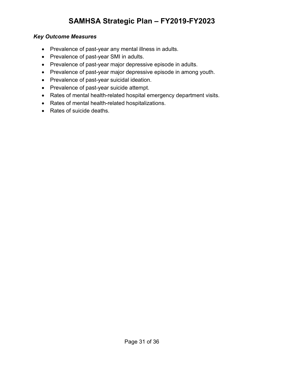#### *Key Outcome Measures*

- Prevalence of past-year any mental illness in adults.
- Prevalence of past-year SMI in adults.
- Prevalence of past-year major depressive episode in adults.
- Prevalence of past-year major depressive episode in among youth.
- Prevalence of past-year suicidal ideation.
- Prevalence of past-year suicide attempt.
- Rates of mental health-related hospital emergency department visits.
- Rates of mental health-related hospitalizations.
- Rates of suicide deaths.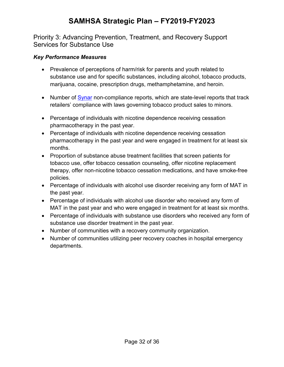<span id="page-33-0"></span>Priority 3: Advancing Prevention, Treatment, and Recovery Support Services for Substance Use

#### *Key Performance Measures*

- Prevalence of perceptions of harm/risk for parents and youth related to substance use and for specific substances, including alcohol, tobacco products, marijuana, cocaine, prescription drugs, methamphetamine, and heroin.
- Number of [Synar](https://www.samhsa.gov/synar) non-compliance reports, which are state-level reports that track retailers' compliance with laws governing tobacco product sales to minors.
- Percentage of individuals with nicotine dependence receiving cessation pharmacotherapy in the past year.
- Percentage of individuals with nicotine dependence receiving cessation pharmacotherapy in the past year and were engaged in treatment for at least six months.
- Proportion of substance abuse treatment facilities that screen patients for tobacco use, offer tobacco cessation counseling, offer nicotine replacement therapy, offer non-nicotine tobacco cessation medications, and have smoke-free policies.
- Percentage of individuals with alcohol use disorder receiving any form of MAT in the past year.
- Percentage of individuals with alcohol use disorder who received any form of MAT in the past year and who were engaged in treatment for at least six months.
- Percentage of individuals with substance use disorders who received any form of substance use disorder treatment in the past year.
- Number of communities with a recovery community organization.
- Number of communities utilizing peer recovery coaches in hospital emergency departments.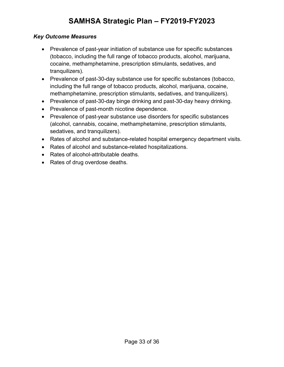#### *Key Outcome Measures*

- Prevalence of past-year initiation of substance use for specific substances (tobacco, including the full range of tobacco products, alcohol, marijuana, cocaine, methamphetamine, prescription stimulants, sedatives, and tranquilizers).
- Prevalence of past-30-day substance use for specific substances (tobacco, including the full range of tobacco products, alcohol, marijuana, cocaine, methamphetamine, prescription stimulants, sedatives, and tranquilizers).
- Prevalence of past-30-day binge drinking and past-30-day heavy drinking.
- Prevalence of past-month nicotine dependence.
- Prevalence of past-year substance use disorders for specific substances (alcohol, cannabis, cocaine, methamphetamine, prescription stimulants, sedatives, and tranquilizers).
- Rates of alcohol and substance-related hospital emergency department visits.
- Rates of alcohol and substance-related hospitalizations.
- Rates of alcohol-attributable deaths.
- Rates of drug overdose deaths.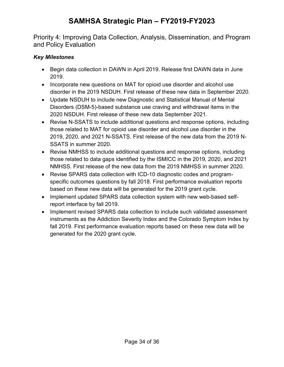<span id="page-35-0"></span>Priority 4: Improving Data Collection, Analysis, Dissemination, and Program and Policy Evaluation

#### *Key Milestones*

- Begin data collection in DAWN in April 2019. Release first DAWN data in June 2019.
- Incorporate new questions on MAT for opioid use disorder and alcohol use disorder in the 2019 NSDUH. First release of these new data in September 2020.
- Update NSDUH to include new Diagnostic and Statistical Manual of Mental Disorders (DSM-5)-based substance use craving and withdrawal items in the 2020 NSDUH. First release of these new data September 2021.
- Revise N-SSATS to include additional questions and response options, including those related to MAT for opioid use disorder and alcohol use disorder in the 2019, 2020, and 2021 N-SSATS. First release of the new data from the 2019 N-SSATS in summer 2020.
- Revise NMHSS to include additional questions and response options, including those related to data gaps identified by the ISMICC in the 2019, 2020, and 2021 NMHSS. First release of the new data from the 2019 NMHSS in summer 2020.
- Revise SPARS data collection with ICD-10 diagnostic codes and programspecific outcomes questions by fall 2018. First performance evaluation reports based on these new data will be generated for the 2019 grant cycle.
- Implement updated SPARS data collection system with new web-based selfreport interface by fall 2019.
- Implement revised SPARS data collection to include such validated assessment instruments as the Addiction Severity Index and the Colorado Symptom Index by fall 2019. First performance evaluation reports based on these new data will be generated for the 2020 grant cycle.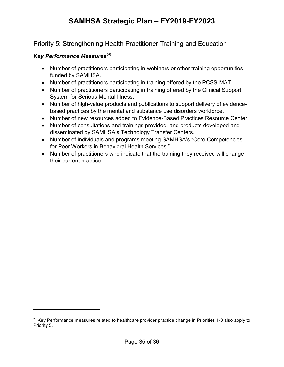<span id="page-36-0"></span>Priority 5: Strengthening Health Practitioner Training and Education

#### *Key Performance Measures[25](#page-36-1)*

- Number of practitioners participating in webinars or other training opportunities funded by SAMHSA.
- Number of practitioners participating in training offered by the PCSS-MAT.
- Number of practitioners participating in training offered by the Clinical Support System for Serious Mental Illness.
- Number of high-value products and publications to support delivery of evidencebased practices by the mental and substance use disorders workforce.
- Number of new resources added to Evidence-Based Practices Resource Center.
- Number of consultations and trainings provided, and products developed and disseminated by SAMHSA's Technology Transfer Centers.
- Number of individuals and programs meeting SAMHSA's "Core Competencies for Peer Workers in Behavioral Health Services."
- Number of practitioners who indicate that the training they received will change their current practice.

<span id="page-36-1"></span> $25$  Key Performance measures related to healthcare provider practice change in Priorities 1-3 also apply to Priority 5.